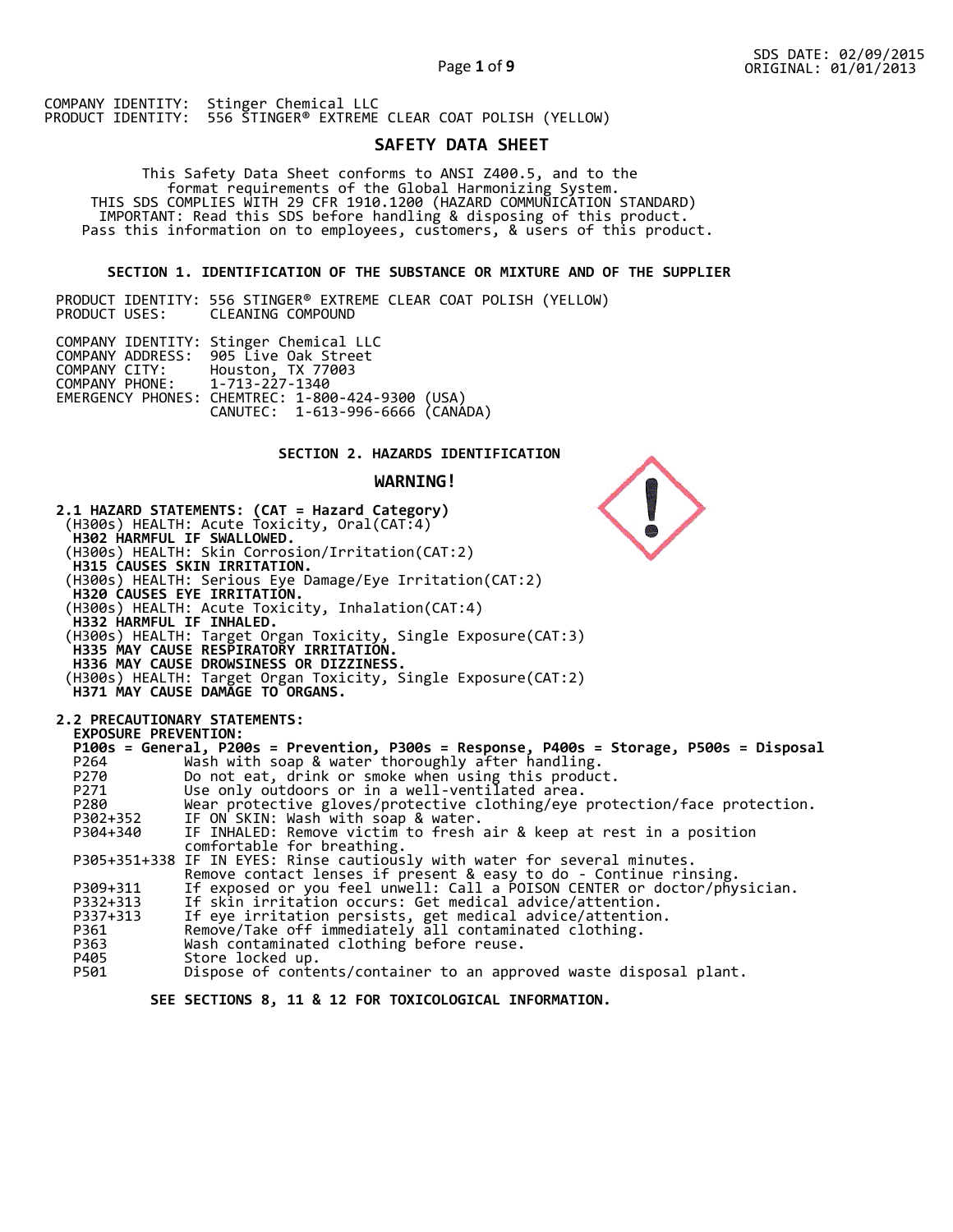# **SAFETY DATA SHEET**

 This Safety Data Sheet conforms to ANSI Z400.5, and to the format requirements of the Global Harmonizing System. THIS SDS COMPLIES WITH 29 CFR 1910.1200 (HAZARD COMMUNICATION STANDARD) IMPORTANT: Read this SDS before handling & disposing of this product. Pass this information on to employees, customers, & users of this product.

## **SECTION 1. IDENTIFICATION OF THE SUBSTANCE OR MIXTURE AND OF THE SUPPLIER**

PRODUCT IDENTITY: 556 STINGER® EXTREME CLEAR COAT POLISH (YELLOW) CLEANING COMPOUND

|                               | COMPANY IDENTITY: Stinger Chemical LLC           |  |
|-------------------------------|--------------------------------------------------|--|
|                               | COMPANY ADDRESS: 905 Live Oak Street             |  |
| COMPANY CITY:                 | Houston, TX 77003                                |  |
| COMPANY PHONE: 1-713-227-1340 |                                                  |  |
|                               | EMERGENCY PHONES: CHEMTREC: 1-800-424-9300 (USA) |  |
|                               | CANUTEC: 1-613-996-6666 (CANÁDA)                 |  |

## **SECTION 2. HAZARDS IDENTIFICATION**

### **WARNING!**



 **SEE SECTIONS 8, 11 & 12 FOR TOXICOLOGICAL INFORMATION.**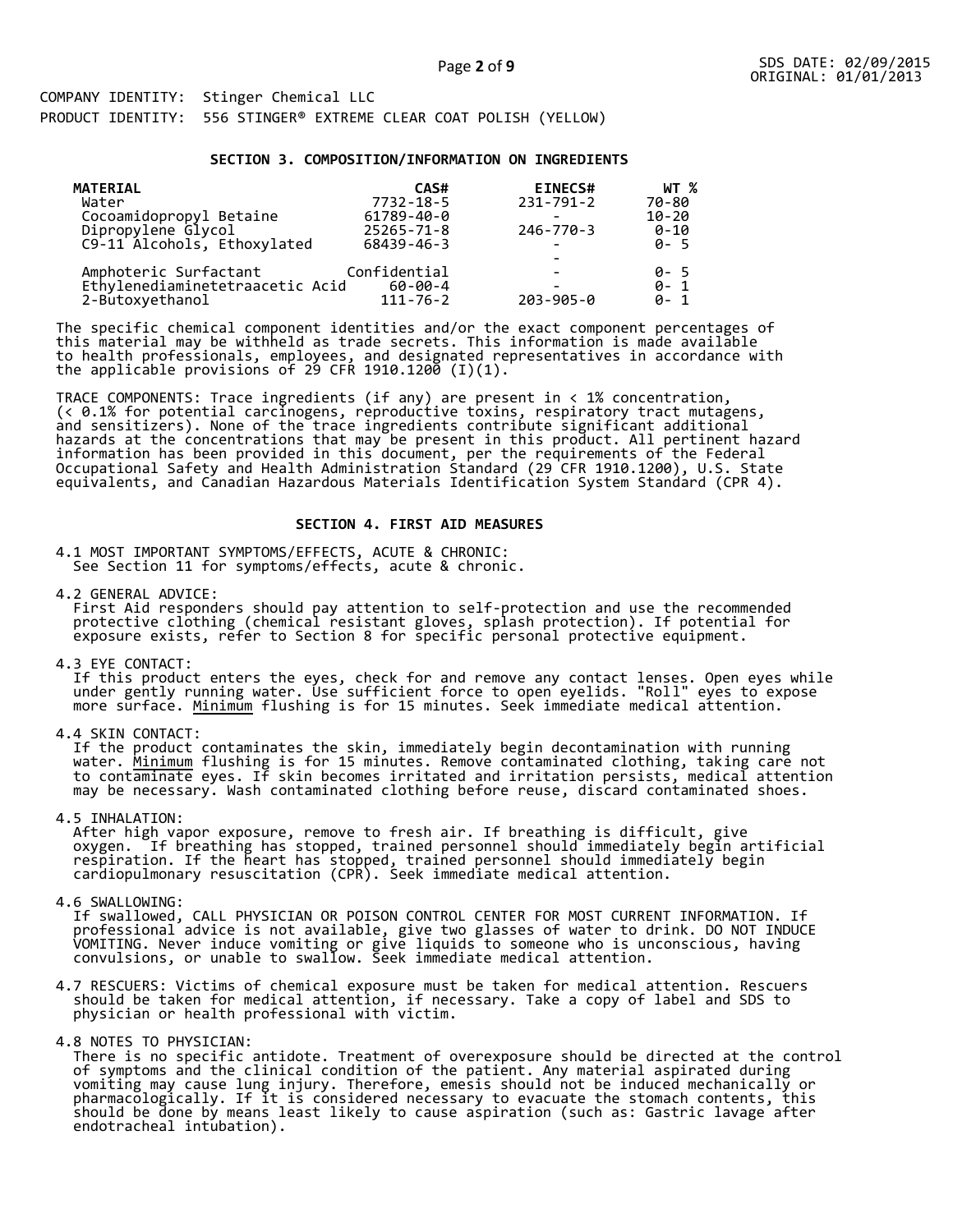#### **SECTION 3. COMPOSITION/INFORMATION ON INGREDIENTS**

| <b>MATERIAL</b>                 | CAS#             | <b>EINECS#</b>  | WT %      |
|---------------------------------|------------------|-----------------|-----------|
| Water                           | 7732-18-5        | 231-791-2       | 70-80     |
| Cocoamidopropyl Betaine         | 61789-40-0       |                 | $10 - 20$ |
| Dipropylene Glycol              | $25265 - 71 - 8$ | $246 - 770 - 3$ | $0 - 10$  |
| C9-11 Alcohols, Ethoxylated     | 68439-46-3       |                 | $0 - 5$   |
|                                 |                  |                 |           |
| Amphoteric Surfactant           | Confidential     |                 | 0-5       |
| Ethylenediaminetetraacetic Acid | $60 - 00 - 4$    |                 | $0 - 1$   |
| 2-Butoxyethanol                 | $111 - 76 - 2$   | $203 - 905 - 0$ | $0 - 1$   |

The specific chemical component identities and/or the exact component percentages of this material may be withheld as trade secrets. This information is made available to health professionals, employees, and designated representatives in accordance with the applicable provisions of 29 CFR 1910.1200̄ (I)(1).  $\overline{\phantom{a}}$ 

TRACE COMPONENTS: Trace ingredients (if any) are present in < 1% concentration, (< 0.1% for potential carcinogens, reproductive toxins, respiratory tract mutagens, and sensitizers). None of the trace ingredients contribute significant additional hazards at the concentrations that may be present in this product. All pertinent hazard information has been provided in this document, per the requirements of the Federal Occupational Safety and Health Administration Standard (29 CFR 1910.1200), U.S. State equivalents, and Canadian Hazardous Materials Identification System Standard (CPR 4).

### **SECTION 4. FIRST AID MEASURES**

4.1 MOST IMPORTANT SYMPTOMS/EFFECTS, ACUTE & CHRONIC: See Section 11 for symptoms/effects, acute & chronic.

4.2 GENERAL ADVICE: First Aid responders should pay attention to self-protection and use the recommended protective clothing (chemical resistant gloves, splash protection). If potential for exposure exists, refer to Section 8 for specific personal protective equipment.

4.3 EYE CONTACT:

 If this product enters the eyes, check for and remove any contact lenses. Open eyes while under gently running water. Use sufficient force to open eyelids. "Roll" eyes to expose more surface. <u>Minimum</u> flushing is for 15 minutes. Seek immediate medical attention.

4.4 SKIN CONTACT:

 If the product contaminates the skin, immediately begin decontamination with running water. <u>Minimum</u> flushing is for 15 minutes. Remove contaminated clothing, taking care not to contaminate eyes. If skin becomes irritated and irritation persists, medical attention may be necessary. Wash contaminated clothing before reuse, discard contaminated shoes.

4.5 INHALATION:

 After high vapor exposure, remove to fresh air. If breathing is difficult, give oxygen. If breathing has stopped, trained personnel should immediately begin artificial respiration. If the heart has stopped, trained personnel should immediately begin cardiopulmonary resuscitation (CPR). Seek immediate medical attention.

4.6 SWALLOWING:

 If swallowed, CALL PHYSICIAN OR POISON CONTROL CENTER FOR MOST CURRENT INFORMATION. If professional advice is not available, give two glasses of water to drink. DO NOT INDUCE VOMITING. Never induce vomiting or give liquids to someone who is unconscious, having convulsions, or unable to swallow. Seek immediate medical attention.

- 4.7 RESCUERS: Victims of chemical exposure must be taken for medical attention. Rescuers should be taken for medical attention, if necessary. Take a copy of label and SDS to physician or health professional with victim.
- 4.8 NOTES TO PHYSICIAN:

 There is no specific antidote. Treatment of overexposure should be directed at the control of symptoms and the clinical condition of the patient. Any material aspirated during vomiting may cause lung injury. Therefore, emesis should not be induced mechanically or pharmacologically. If it is considered necessary to evacuate the stomach contents, this should be done by means least likely to cause aspiration (such as: Gastric lavage after endotracheal intubation).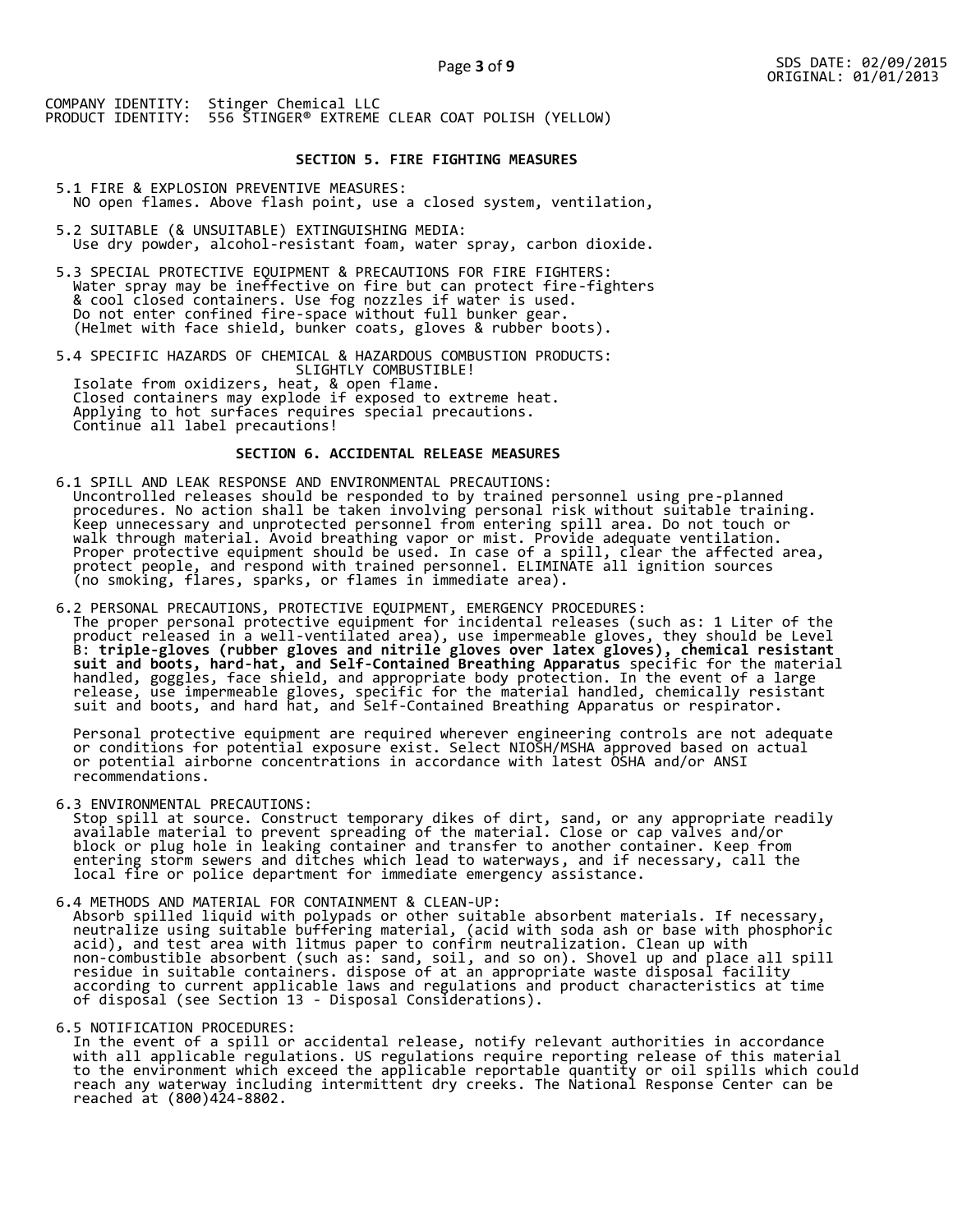### **SECTION 5. FIRE FIGHTING MEASURES**

5.1 FIRE & EXPLOSION PREVENTIVE MEASURES: NO open flames. Above flash point, use a closed system, ventilation,

- 5.2 SUITABLE (& UNSUITABLE) EXTINGUISHING MEDIA: Use dry powder, alcohol-resistant foam, water spray, carbon dioxide.
- 5.3 SPECIAL PROTECTIVE EQUIPMENT & PRECAUTIONS FOR FIRE FIGHTERS: Water spray may be ineffective on fire but can protect fire-fighters & cool closed containers. Use fog nozzles if water is used. Do not enter confined fire-space without full bunker gear. (Helmet with face shield, bunker coats, gloves & rubber boots).

5.4 SPECIFIC HAZARDS OF CHEMICAL & HAZARDOUS COMBUSTION PRODUCTS: SLIGHTLY COMBUSTIBLE! Isolate from oxidizers, heat, & open flame. Closed containers may explode if exposed to extreme heat. Applying to hot surfaces requires special precautions. Continue all label precautions!

## **SECTION 6. ACCIDENTAL RELEASE MEASURES**

- 6.1 SPILL AND LEAK RESPONSE AND ENVIRONMENTAL PRECAUTIONS: Uncontrolled releases should be responded to by trained personnel using pre-planned procedures. No action shall be taken involving personal risk without suitable training. Keep unnecessary and unprotected personnel from entering spill area. Do not touch or walk through material. Avoid breathing vapor or mist. Provide adequate ventilation. Proper protective equipment should be used. In case of a spill, clear the affected area, protect people, and respond with trained personnel. ELIMINATE all ignition sources (no smoking, flares, sparks, or flames in immediate area).
- 6.2 PERSONAL PRECAUTIONS, PROTECTIVE EQUIPMENT, EMERGENCY PROCEDURES: The proper personal protective equipment for incidental releases (such as: 1 Liter of the product released in a well-ventilated area), use impermeable gloves, they should be Level B: **triple-gloves (rubber gloves and nitrile gloves over latex gloves), chemical resistant suit and boots, hard-hat, and Self-Contained Breathing Apparatus** specific for the material handled, goggles, face shield, and appropriate body protection. In the event of a large release, use impermeable gloves, specific for the material handled, chemically resistant suit and boots, and hard hat, and Self-Contained Breathing Apparatus or respirator.

 Personal protective equipment are required wherever engineering controls are not adequate or conditions for potential exposure exist. Select NIOSH/MSHA approved based on actual or potential airborne concentrations in accordance with latest OSHA and/or ANSI recommendations.

6.3 ENVIRONMENTAL PRECAUTIONS:

 Stop spill at source. Construct temporary dikes of dirt, sand, or any appropriate readily available material to prevent spreading of the material. Close or cap valves and/or block or plug hole in leaking container and transfer to another container. Keep from entering storm sewers and ditches which lead to waterways, and if necessary, call the local fire or police department for immediate emergency assistance.

6.4 METHODS AND MATERIAL FOR CONTAINMENT & CLEAN-UP: Absorb spilled liquid with polypads or other suitable absorbent materials. If necessary, neutralize using suitable buffering material, (acid with soda ash or base with phosphoric acid), and test area with litmus paper to confirm neutralization. Clean up with non-combustible absorbent (such as: sand, soil, and so on). Shovel up and place all spill residue in suitable containers. dispose of at an appropriate waste disposal facility according to current applicable laws and regulations and product characteristics at time of disposal (see Section 13 - Disposal Considerations).

6.5 NOTIFICATION PROCEDURES:

 In the event of a spill or accidental release, notify relevant authorities in accordance with all applicable regulations. US regulations require reporting release of this material to the environment which exceed the applicable reportable quantity or oil spills which could reach any waterway including intermittent dry creeks. The National Response Center can be reached at (800)424-8802.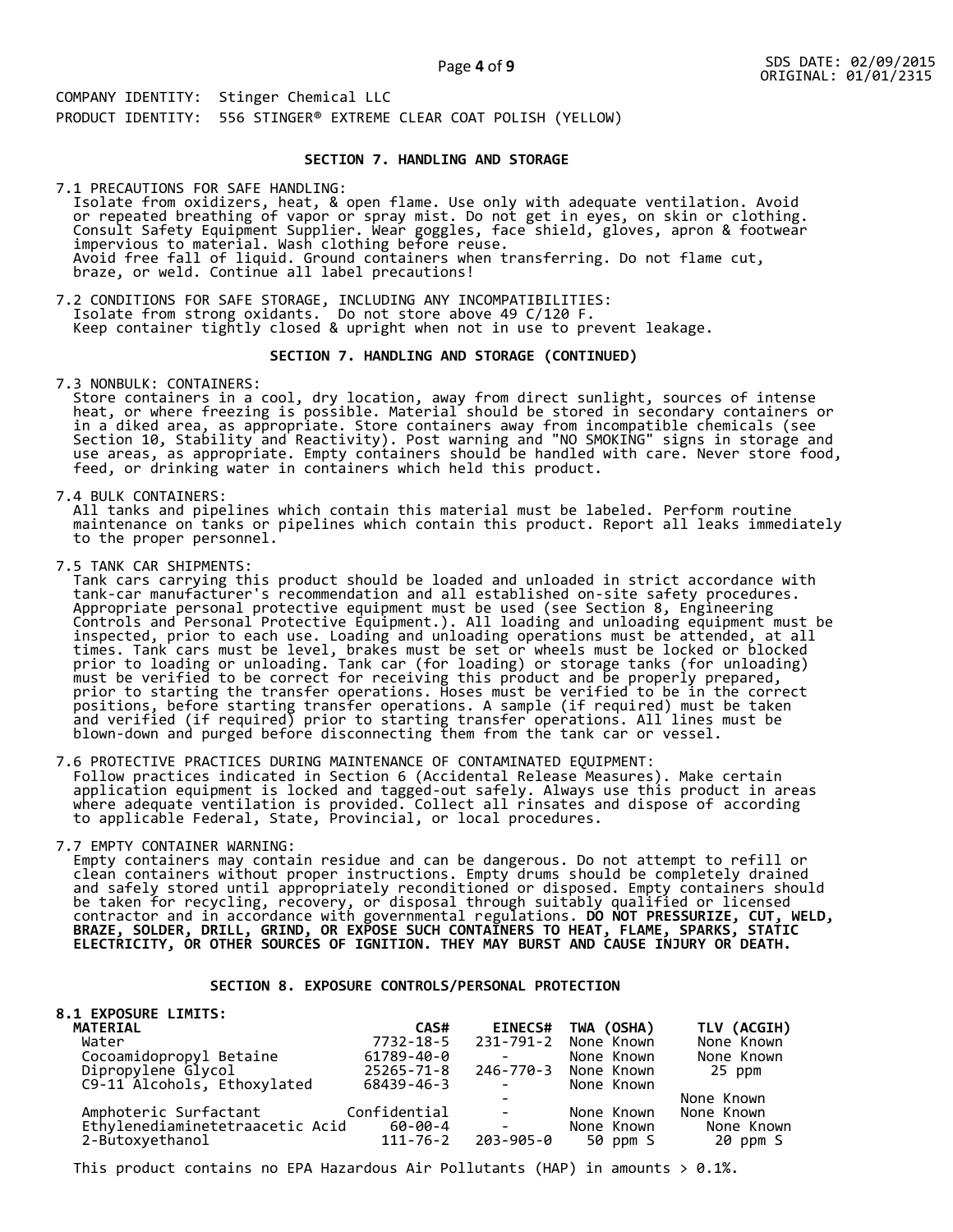Page **4** of **9**

COMPANY IDENTITY: Stinger Chemical LLC PRODUCT IDENTITY: 556 STINGER® EXTREME CLEAR COAT POLISH (YELLOW)

## **SECTION 7. HANDLING AND STORAGE**

7.1 PRECAUTIONS FOR SAFE HANDLING: Isolate from oxidizers, heat, & open flame. Use only with adequate ventilation. Avoid or repeated breathing of vapor or spray mist. Do not get in eyes, on skin or clothing. Consult Safety Equipment Supplier. Wear goggles, face shield, gloves, apron & footwear impervious to material. Wash clothing before reuse. Avoid free fall of liquid. Ground containers when transferring. Do not flame cut, braze, or weld. Continue all label precautions!

7.2 CONDITIONS FOR SAFE STORAGE, INCLUDING ANY INCOMPATIBILITIES: Isolate from strong oxidants. Do not store above 49 C/120 F. Keep container tightly closed & upright when not in use to prevent leakage.

## **SECTION 7. HANDLING AND STORAGE (CONTINUED)**

7.3 NONBULK: CONTAINERS:

 Store containers in a cool, dry location, away from direct sunlight, sources of intense heat, or where freezing is possible. Material should be stored in secondary containers or in a diked area, as appropriate. Store containers away from incompatible chemicals (see Section 10, Stability and Reactivity). Post warning and "NO SMOKING" signs in storage and use areas, as appropriate. Empty containers should be handled with care. Never store food, feed, or drinking water in containers which held this product.

7.4 BULK CONTAINERS:

 All tanks and pipelines which contain this material must be labeled. Perform routine maintenance on tanks or pipelines which contain this product. Report all leaks immediately to the proper personnel.

7.5 TANK CAR SHIPMENTS:

Tank cars carrying this product should be loaded and unloaded in strict accordance with<br>tank-car manufacturer's recommendation and all established on-site safety procedures. tank-car manufacturer's recommendation and all established on-site safety procedures. Appropriate personal protective equipment must be used (see Section 8, Engineering Controls and Personal Protective Equipment.). All loading and unloading equipment must be inspected, prior to each use. Loading and unloading operations must be attended, at all times. Tank cars must be level, brakes must be set or wheels must be locked or blocked prior to loading or unloading. Tank car (for loading) or storage tanks (for unloading) must be verified to be correct for receiving this product and be properly prepared, prior to starting the transfer operations. Hoses must be verified to be in the correct positions, before starting transfer operations. A sample (if required) must be taken and verified (if required) prior to starting transfer operations. All lines must be blown-down and purged before disconnecting them from the tank car or vessel.

7.6 PROTECTIVE PRACTICES DURING MAINTENANCE OF CONTAMINATED EQUIPMENT: Follow practices indicated in Section 6 (Accidental Release Measures). Make certain application equipment is locked and tagged-out safely. Always use this product in areas where adequate ventilation is provided. Collect all rinsates and dispose of according to applicable Federal, State, Provincial, or local procedures.

7.7 EMPTY CONTAINER WARNING:

 Empty containers may contain residue and can be dangerous. Do not attempt to refill or clean containers without proper instructions. Empty drums should be completely drained and safely stored until appropriately reconditioned or disposed. Empty containers should be taken for recycling, recovery, or disposal through suitably qualified or licensed contractor and in accordance with governmental regulations. **DO NOT PRESSURIZE, CUT, WELD, BRAZE, SOLDER, DRILL, GRIND, OR EXPOSE SUCH CONTAINERS TO HEAT, FLAME, SPARKS, STATIC ELECTRICITY, OR OTHER SOURCES OF IGNITION. THEY MAY BURST AND CAUSE INJURY OR DEATH.**

## **SECTION 8. EXPOSURE CONTROLS/PERSONAL PROTECTION**

| <b>8.1 EXPOSURE LIMITS:</b>     |                |                          |                      |             |
|---------------------------------|----------------|--------------------------|----------------------|-------------|
| <b>MATERIAL</b>                 | CAS#           | <b>EINECS#</b>           | TWA (OSHA)           | TLV (ACGIH) |
| Water                           | 7732-18-5      |                          | 231-791-2 None Known | None Known  |
| Cocoamidopropyl Betaine         | 61789-40-0     |                          | None Known           | None Known  |
| Dipropylene Glycol              | 25265-71-8     |                          | 246-770-3 None Known | 25 ppm      |
| C9-11 Alcohols, Ethoxylated     | 68439-46-3     | $\sim 100$ m $^{-1}$     | None Known           |             |
|                                 |                |                          |                      | None Known  |
| Amphoteric Surfactant           | Confidential   | <b>Contract Contract</b> | None Known           | None Known  |
| Ethylenediaminetetraacetic Acid | 60-00-4        | $\Delta \sim 100$        | None Known           | None Known  |
| 2-Butoxyethanol                 | $111 - 76 - 2$ | 203-905-0                | 50 ppm S             | 20 ppm S    |

This product contains no EPA Hazardous Air Pollutants (HAP) in amounts  $> 0.1\%$ .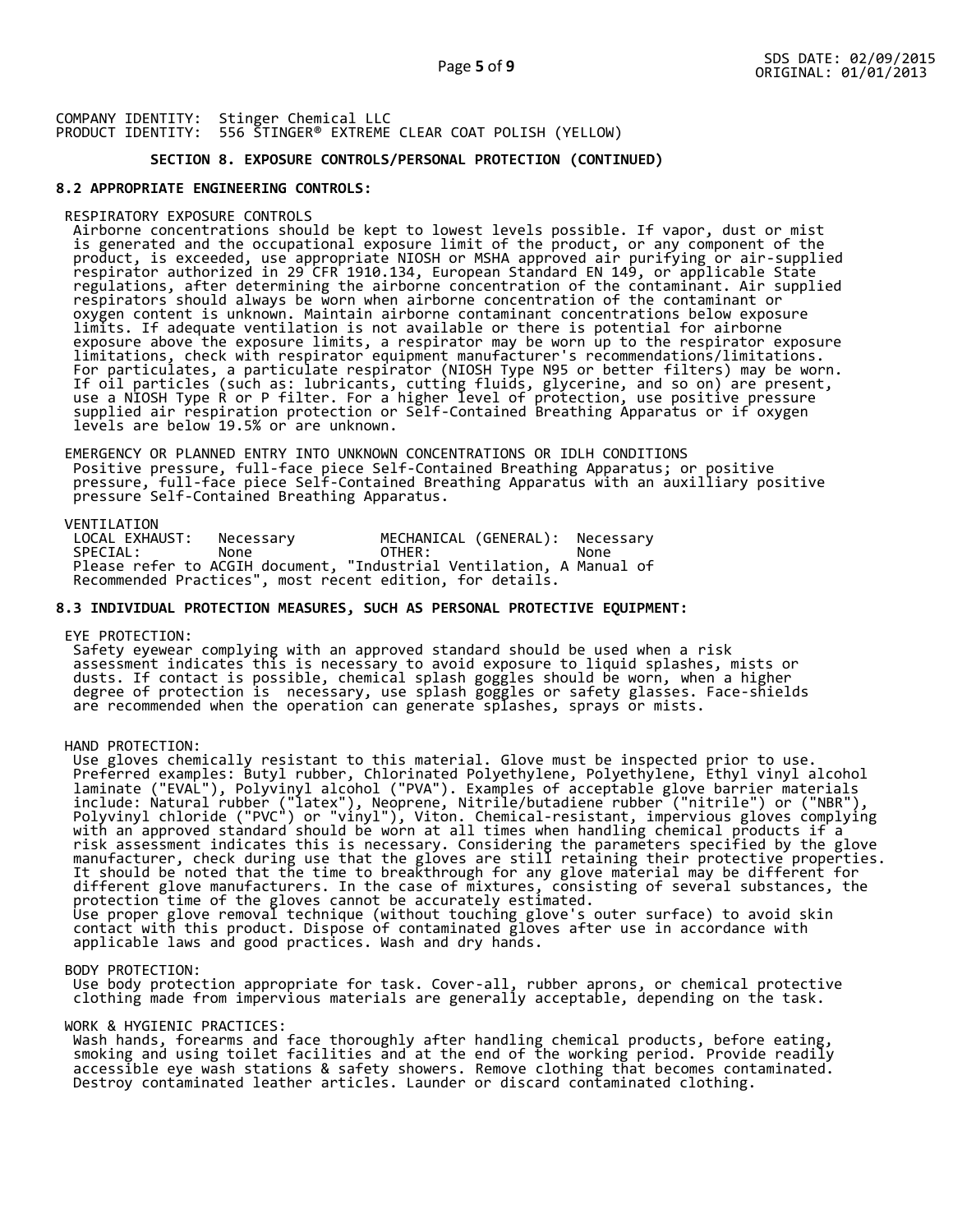## **SECTION 8. EXPOSURE CONTROLS/PERSONAL PROTECTION (CONTINUED)**

## **8.2 APPROPRIATE ENGINEERING CONTROLS:**

### RESPIRATORY EXPOSURE CONTROLS

 Airborne concentrations should be kept to lowest levels possible. If vapor, dust or mist is generated and the occupational exposure limit of the product, or any component of the product, is exceeded, use appropriate NIOSH or MSHA approved air purifying or air-supplied respirator authorized in 29 CFR 1910.134, European Standard EN 149, or applicable State regulations, after determining the airborne concentration of the contaminant. Air supplied respirators should always be worn when airborne concentration of the contaminant or oxygen content is unknown. Maintain airborne contaminant concentrations below exposure limits. If adequate ventilation is not available or there is potential for airborne exposure above the exposure limits, a respirator may be worn up to the respirator exposure limitations, check with respirator equipment manufacturer's recommendations/limitations. For particulates, a particulate respirator (NIOSH Type N95 or better filters) may be worn. If oil particles (such as: lubricants, cutting fluids, glycerine, and so on) are present, use a NIOSH Type R or P filter. For a higher level of protection, use positive pressure supplied air respiration protection or Self-Contained Breathing Apparatus or if oxygen levels are below 19.5% or are unknown.

 EMERGENCY OR PLANNED ENTRY INTO UNKNOWN CONCENTRATIONS OR IDLH CONDITIONS Positive pressure, full-face piece Self-Contained Breathing Apparatus; or positive pressure, full-face piece Self-Contained Breathing Apparatus with an auxilliary positive pressure Self-Contained Breathing Apparatus.

VENTILATION<br>LOCAL EXHAUST: LOCAL EXHAUST: Necessary MECHANICAL (GENERAL): Necessary SPECIAL: None OTHER: None Please refer to ACGIH document, "Industrial Ventilation, A Manual of Recommended Practices", most recent edition, for details.

## **8.3 INDIVIDUAL PROTECTION MEASURES, SUCH AS PERSONAL PROTECTIVE EQUIPMENT:**

#### EYE PROTECTION:

 Safety eyewear complying with an approved standard should be used when a risk assessment indicates this is necessary to avoid exposure to liquid splashes, mists or dusts. If contact is possible, chemical splash goggles should be worn, when a higher degree of protection is necessary, use splash goggles or safety glasses. Face-shields are recommended when the operation can generate splashes, sprays or mists.

#### HAND PROTECTION:

 Use gloves chemically resistant to this material. Glove must be inspected prior to use. Preferred examples: Butyl rubber, Chlorinated Polyethylene, Polyethylene, Ethyl vinyl alcohol laminate ("EVAL"), Polyvinyl alcohol ("PVA"). Examples of acceptable glove barrier materials include: Natural rubber ("latex"), Neoprene, Nitrile/butadiene rubber ("nitrile") or ("NBR"), Polyvinyl chloride ("PVC") or "vinyl"), Viton. Chemical-resistant, impervious gloves complying with an approved standard should be worn at all times when handling chemical products if a risk assessment indicates this is necessary. Considering the parameters specified by the glove manufacturer, check during use that the gloves are still retaining their protective properties. It should be noted that the time to breakthrough for any glove material may be different for different glove manufacturers. In the case of mixtures, consisting of several substances, the protection time of the gloves cannot be accurately estimated. Use proper glove removal technique (without touching glove's outer surface) to avoid skin contact with this product. Dispose of contaminated gloves after use in accordance with applicable laws and good practices. Wash and dry hands.

#### BODY PROTECTION:

 Use body protection appropriate for task. Cover-all, rubber aprons, or chemical protective clothing made from impervious materials are generally acceptable, depending on the task.

#### WORK & HYGIENIC PRACTICES:

 Wash hands, forearms and face thoroughly after handling chemical products, before eating, smoking and using toilet facilities and at the end of the working period. Provide readily accessible eye wash stations & safety showers. Remove clothing that becomes contaminated. Destroy contaminated leather articles. Launder or discard contaminated clothing.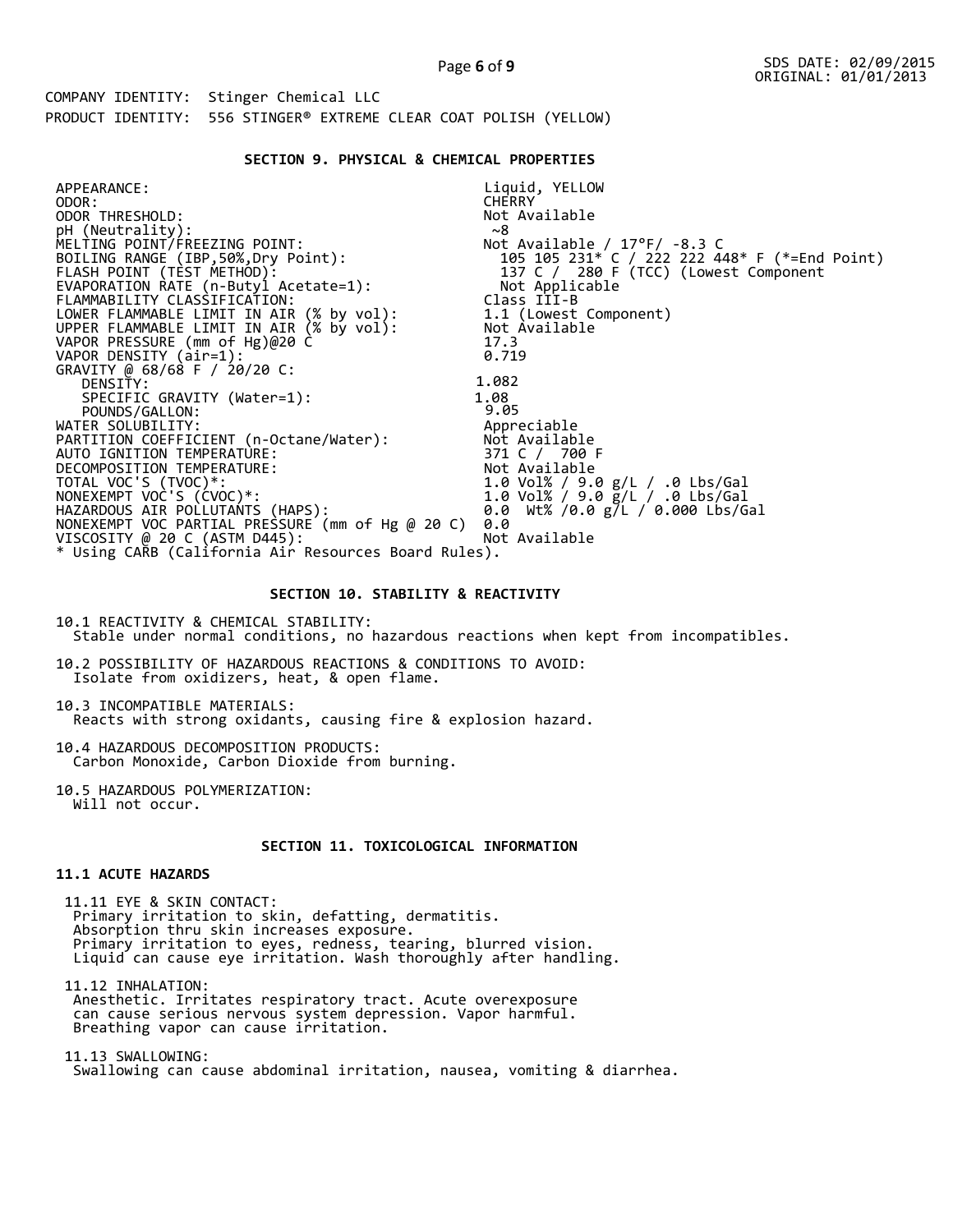## **SECTION 9. PHYSICAL & CHEMICAL PROPERTIES**

| APPEARANCE:                                                                          | Liquid, YELLOW                                |
|--------------------------------------------------------------------------------------|-----------------------------------------------|
| ODOR:                                                                                | <b>CHERRY</b>                                 |
| ODOR THRESHOLD:                                                                      | Not Available                                 |
| pH (Neutrality):                                                                     | ~8                                            |
| MELTING POINT/FREEZING POINT:                                                        | Not Available / $17^{\circ}$ F/ -8.3 C        |
| BOILING RANGE (IBP, 50%, Dry Point):                                                 | 105 105 231* C / 222 222 448* F (*=End Point) |
| FLASH POINT (TEST METHOD):                                                           | 137 C / 280 F (TCC) (Lowest Component         |
| EVAPORATION RATE (n-Butyl Acetate=1):                                                | Not Applicable                                |
| FLAMMABILITY CLASSIFICATION:                                                         | Class III-B                                   |
|                                                                                      | 1.1 (Lowest Component)                        |
| LOWER FLAMMABLE LIMIT IN AIR (% by vol):<br>UPPER FLAMMABLE LIMIT IN AIR (% by vol): | Not Available                                 |
| VAPOR PRESSURE (mm of Hg)@20 C                                                       | 17.3                                          |
| VAPOR DENSITY (air=1):                                                               | 0.719                                         |
| GRAVITY @ 68/68 F / 20/20 C:                                                         |                                               |
| DENSITY:                                                                             | 1.082                                         |
| SPECIFIC GRAVITY (Water=1):                                                          | 1.08                                          |
| POUNDS/GALLON:                                                                       | 9.05                                          |
| WATER SOLUBILITY:                                                                    | Appreciable                                   |
| PARTITION COEFFICIENT (n-Octane/Water):                                              | Not Available                                 |
| AUTO IGNITION TEMPERATURE:                                                           | 371 C / 700 F                                 |
| DECOMPOSITION TEMPERATURE:                                                           | Not Available                                 |
| TOTAL VOC'S (TVOC)*:                                                                 | 1.0 Vol% / 9.0 g/L / .0 Lbs/Gal               |
| NONEXEMPT VOC'S (CVOC)*:                                                             | 1.0 Vol% / 9.0 g/L / .0 Lbs/Gal               |
| HAZARDOUS AIR POLLUTANTS (HAPS):                                                     | 0.0 Wt% /0.0 g/L / 0.000 Lbs/Gal              |
| NONEXEMPT VOC PARTIAL PRESSURE (mm of Hg @ 20 C)                                     | 0.0                                           |
| VISCOSITY @ 20 C (ASTM D445):                                                        | Not Available                                 |
| * Using CARB (California Air Resources Board Rules).                                 |                                               |

## **SECTION 10. STABILITY & REACTIVITY**

10.1 REACTIVITY & CHEMICAL STABILITY: Stable under normal conditions, no hazardous reactions when kept from incompatibles.

10.2 POSSIBILITY OF HAZARDOUS REACTIONS & CONDITIONS TO AVOID: Isolate from oxidizers, heat, & open flame.

10.3 INCOMPATIBLE MATERIALS: Reacts with strong oxidants, causing fire & explosion hazard.

10.4 HAZARDOUS DECOMPOSITION PRODUCTS: Carbon Monoxide, Carbon Dioxide from burning.

10.5 HAZARDOUS POLYMERIZATION: Will not occur.

# **SECTION 11. TOXICOLOGICAL INFORMATION**

## **11.1 ACUTE HAZARDS**

 11.11 EYE & SKIN CONTACT: Primary irritation to skin, defatting, dermatitis. Absorption thru skin increases exposure. Primary irritation to eyes, redness, tearing, blurred vision. Liquid can cause eye irritation. Wash thoroughly after handling.

 11.12 INHALATION: Anesthetic. Irritates respiratory tract. Acute overexposure can cause serious nervous system depression. Vapor harmful. Breathing vapor can cause irritation.

 11.13 SWALLOWING: Swallowing can cause abdominal irritation, nausea, vomiting & diarrhea.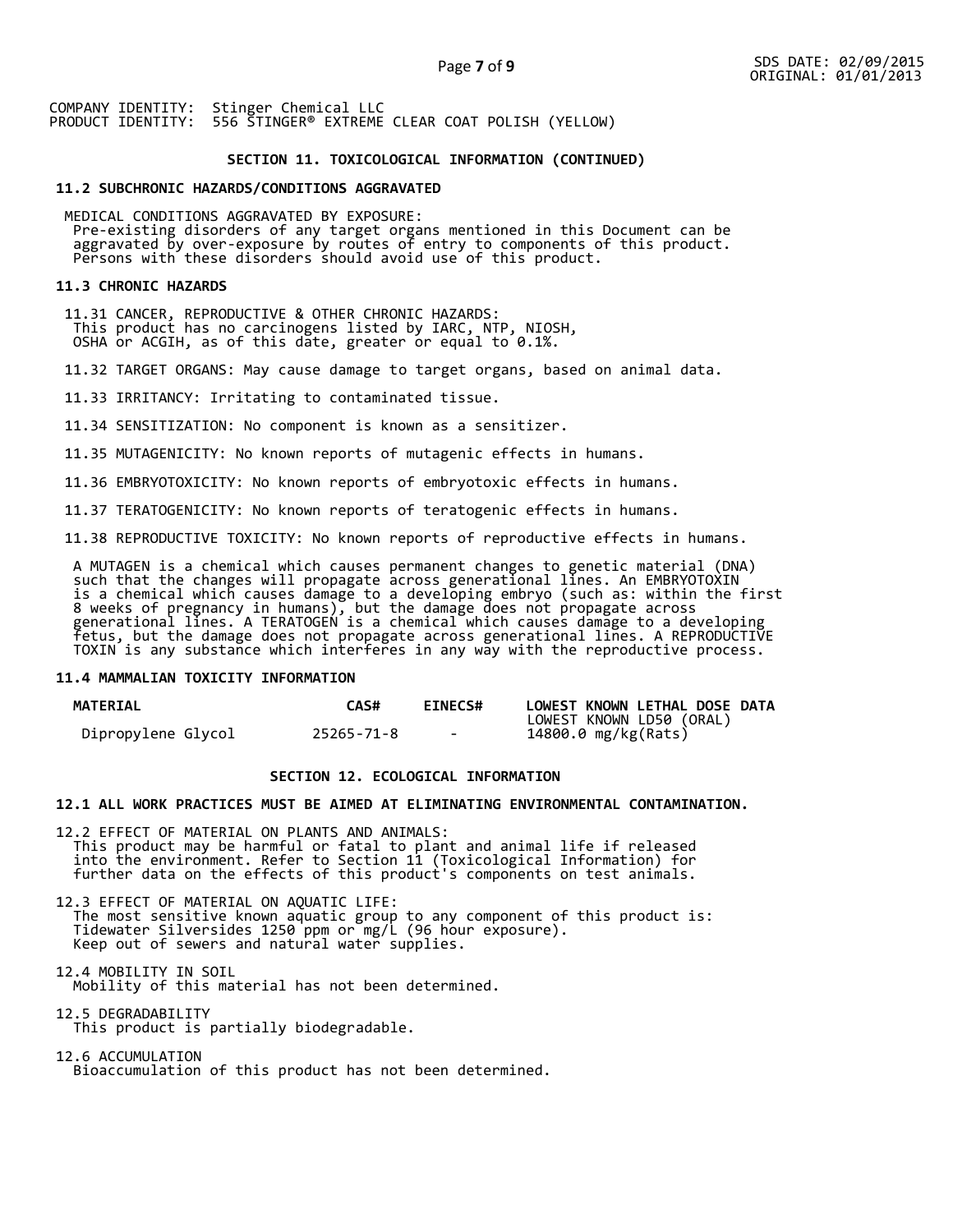## **SECTION 11. TOXICOLOGICAL INFORMATION (CONTINUED)**

#### **11.2 SUBCHRONIC HAZARDS/CONDITIONS AGGRAVATED**

 MEDICAL CONDITIONS AGGRAVATED BY EXPOSURE: Pre-existing disorders of any target organs mentioned in this Document can be aggravated by over-exposure by routes of entry to components of this product. Persons with these disorders should avoid use of this product.

#### **11.3 CHRONIC HAZARDS**

 11.31 CANCER, REPRODUCTIVE & OTHER CHRONIC HAZARDS: This product has no carcinogens listed by IARC, NTP, NIOSH, OSHA or ACGIH, as of this date, greater or equal to 0.1%.

11.32 TARGET ORGANS: May cause damage to target organs, based on animal data.

11.33 IRRITANCY: Irritating to contaminated tissue.

11.34 SENSITIZATION: No component is known as a sensitizer.

11.35 MUTAGENICITY: No known reports of mutagenic effects in humans.

11.36 EMBRYOTOXICITY: No known reports of embryotoxic effects in humans.

11.37 TERATOGENICITY: No known reports of teratogenic effects in humans.

11.38 REPRODUCTIVE TOXICITY: No known reports of reproductive effects in humans.

 A MUTAGEN is a chemical which causes permanent changes to genetic material (DNA) such that the changes will propagate across generational lines. An EMBRYOTOXIN is a chemical which causes damage to a developing embryo (such as: within the first 8 weeks of pregnancy in humans), but the damage does not propagate across generational lines. A TERATOGEN is a chemical which causes damage to a developing fetus, but the damage does not propagate across generational lines. A REPRODUCTIVE TOXIN is any substance which interferes in any way with the reproductive process.

#### **11.4 MAMMALIAN TOXICITY INFORMATION**

| <b>MATERIAL</b>    | <b>CAS#</b> | <b>EINECS#</b> | LOWEST KNOWN LETHAL DOSE DATA |
|--------------------|-------------|----------------|-------------------------------|
|                    |             |                | LOWEST KNOWN LD50 (ORAL)      |
| Dipropylene Glycol | 25265-71-8  | $\sim$         | 14800.0 mg/kg(Rats)           |

## **SECTION 12. ECOLOGICAL INFORMATION**

## **12.1 ALL WORK PRACTICES MUST BE AIMED AT ELIMINATING ENVIRONMENTAL CONTAMINATION.**

12.2 EFFECT OF MATERIAL ON PLANTS AND ANIMALS: This product may be harmful or fatal to plant and animal life if released into the environment. Refer to Section 11 (Toxicological Information) for further data on the effects of this product's components on test animals.

12.3 EFFECT OF MATERIAL ON AQUATIC LIFE: The most sensitive known aquatic group to any component of this product is: Tidewater Silversides 1250 ppm or mg/L (96 hour exposure). Keep out of sewers and natural water supplies.

12.4 MOBILITY IN SOIL Mobility of this material has not been determined.

12.5 DEGRADABILITY This product is partially biodegradable.

12.6 ACCUMULATION Bioaccumulation of this product has not been determined.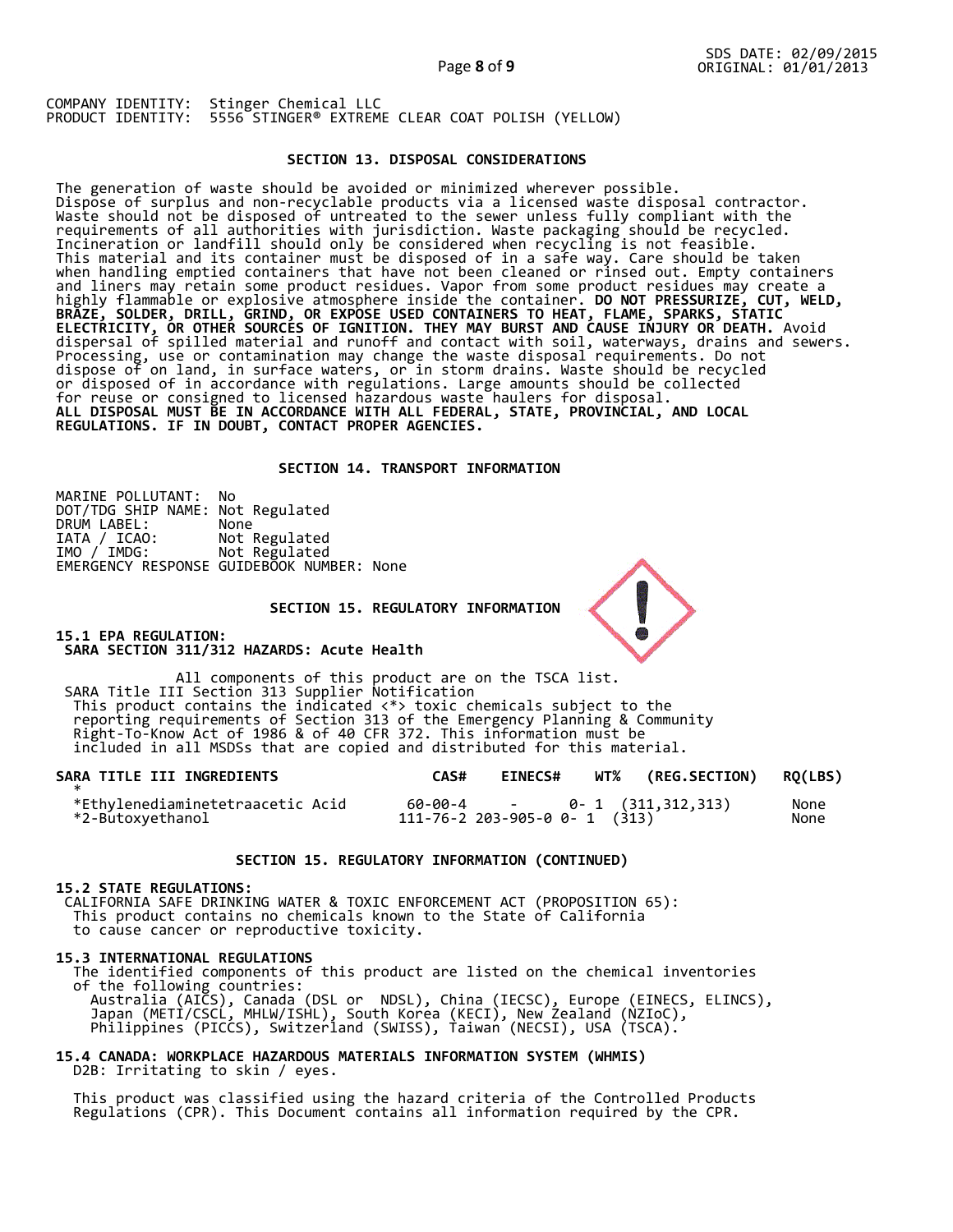## **SECTION 13. DISPOSAL CONSIDERATIONS**

The generation of waste should be avoided or minimized wherever possible. Dispose of surplus and non-recyclable products via a licensed waste disposal contractor. Waste should not be disposed of untreated to the sewer unless fully compliant with the requirements of all authorities with jurisdiction. Waste packaging should be recycled. Incineration or landfill should only be considered when recycling is not feasible. This material and its container must be disposed of in a safe way. Care should be taken when handling emptied containers that have not been cleaned or rinsed out. Empty containers and liners may retain some product residues. Vapor from some product residues may create a highly flammable or explosive atmosphere inside the container. **DO NOT PRESSURIZE, CUT, WELD, BRAZE, SOLDER, DRILL, GRIND, OR EXPOSE USED CONTAINERS TO HEAT, FLAME, SPARKS, STATIC ELECTRICITY, OR OTHER SOURCES OF IGNITION. THEY MAY BURST AND CAUSE INJURY OR DEATH.** Avoid dispersal of spilled material and runoff and contact with soil, waterways, drains and sewers. Processing, use or contamination may change the waste disposal requirements. Do not dispose of on land, in surface waters, or in storm drains. Waste should be recycled or disposed of in accordance with regulations. Large amounts should be collected for reuse or consigned to licensed hazardous waste haulers for disposal. **ALL DISPOSAL MUST BE IN ACCORDANCE WITH ALL FEDERAL, STATE, PROVINCIAL, AND LOCAL REGULATIONS. IF IN DOUBT, CONTACT PROPER AGENCIES.** 

#### **SECTION 14. TRANSPORT INFORMATION**

MARINE POLLUTANT: No DOT/TDG SHIP NAME: Not Regulated DRUM LABEL:<br>IATA / ICAO:<br>IMO / IMDG: Not Regulated Not Regulated EMERGENCY RESPONSE GUIDEBOOK NUMBER: None

 **SECTION 15. REGULATORY INFORMATION** 

**15.1 EPA REGULATION: SARA SECTION 311/312 HAZARDS: Acute Health** 

All components of this product are on the TSCA list. SARA Title III Section 313 Supplier Notification This product contains the indicated <\*> toxic chemicals subject to the reporting requirements of Section 313 of the Emergency Planning & Community Right-To-Know Act of 1986 & of 40 CFR 372. This information must be included in all MSDSs that are copied and distributed for this material.

| SARA TITLE III INGREDIENTS                           | CAS# | <b>EINECS#</b> | WT% (REG.SECTION) RQ(LBS)                                           |              |
|------------------------------------------------------|------|----------------|---------------------------------------------------------------------|--------------|
| *Ethylenediaminetetraacetic Acid<br>*2-Butoxyethanol |      |                | $60-00-4$ - 0- 1 $(311,312,313)$<br>111-76-2 203-905-0 0- 1 $(313)$ | None<br>None |

#### **SECTION 15. REGULATORY INFORMATION (CONTINUED)**

#### **15.2 STATE REGULATIONS:**

 CALIFORNIA SAFE DRINKING WATER & TOXIC ENFORCEMENT ACT (PROPOSITION 65): This product contains no chemicals known to the State of California to cause cancer or reproductive toxicity.

#### **15.3 INTERNATIONAL REGULATIONS**

 The identified components of this product are listed on the chemical inventories of the following countries: Australia (AICS), Canada (DSL or NDSL), China (IECSC), Europe (EINECS, ELINCS), Japan (METI/CSCL, MHLW/ISHL), South Korea (KECI), New Zealand (NZIoC), Philippines (PICCS), Switzerland (SWISS), Taiwan (NECSI), USA (TSCA).

## **15.4 CANADA: WORKPLACE HAZARDOUS MATERIALS INFORMATION SYSTEM (WHMIS)**  D2B: Irritating to skin / eyes.

 This product was classified using the hazard criteria of the Controlled Products Regulations (CPR). This Document contains all information required by the CPR.